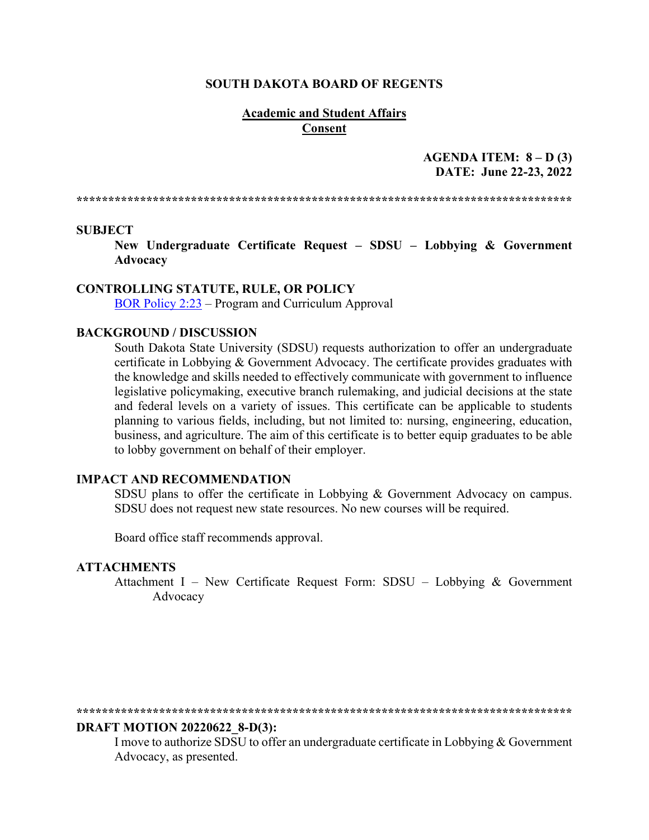#### **SOUTH DAKOTA BOARD OF REGENTS**

#### **Academic and Student Affairs Consent**

**AGENDA ITEM: 8 – D (3) DATE: June 22-23, 2022** 

**\*\*\*\*\*\*\*\*\*\*\*\*\*\*\*\*\*\*\*\*\*\*\*\*\*\*\*\*\*\*\*\*\*\*\*\*\*\*\*\*\*\*\*\*\*\*\*\*\*\*\*\*\*\*\*\*\*\*\*\*\*\*\*\*\*\*\*\*\*\*\*\*\*\*\*\*\*\***

#### **SUBJECT**

**New Undergraduate Certificate Request – SDSU – Lobbying & Government Advocacy** 

#### **CONTROLLING STATUTE, RULE, OR POLICY**

[BOR Policy 2:23](https://www.sdbor.edu/policy/Documents/2-23.pdf) – Program and Curriculum Approval

#### **BACKGROUND / DISCUSSION**

South Dakota State University (SDSU) requests authorization to offer an undergraduate certificate in Lobbying & Government Advocacy. The certificate provides graduates with the knowledge and skills needed to effectively communicate with government to influence legislative policymaking, executive branch rulemaking, and judicial decisions at the state and federal levels on a variety of issues. This certificate can be applicable to students planning to various fields, including, but not limited to: nursing, engineering, education, business, and agriculture. The aim of this certificate is to better equip graduates to be able to lobby government on behalf of their employer.

#### **IMPACT AND RECOMMENDATION**

SDSU plans to offer the certificate in Lobbying & Government Advocacy on campus. SDSU does not request new state resources. No new courses will be required.

Board office staff recommends approval.

#### **ATTACHMENTS**

Attachment I – New Certificate Request Form: SDSU – Lobbying & Government Advocacy

#### **\*\*\*\*\*\*\*\*\*\*\*\*\*\*\*\*\*\*\*\*\*\*\*\*\*\*\*\*\*\*\*\*\*\*\*\*\*\*\*\*\*\*\*\*\*\*\*\*\*\*\*\*\*\*\*\*\*\*\*\*\*\*\*\*\*\*\*\*\*\*\*\*\*\*\*\*\*\***

#### **DRAFT MOTION 20220622\_8-D(3):**

I move to authorize SDSU to offer an undergraduate certificate in Lobbying & Government Advocacy, as presented.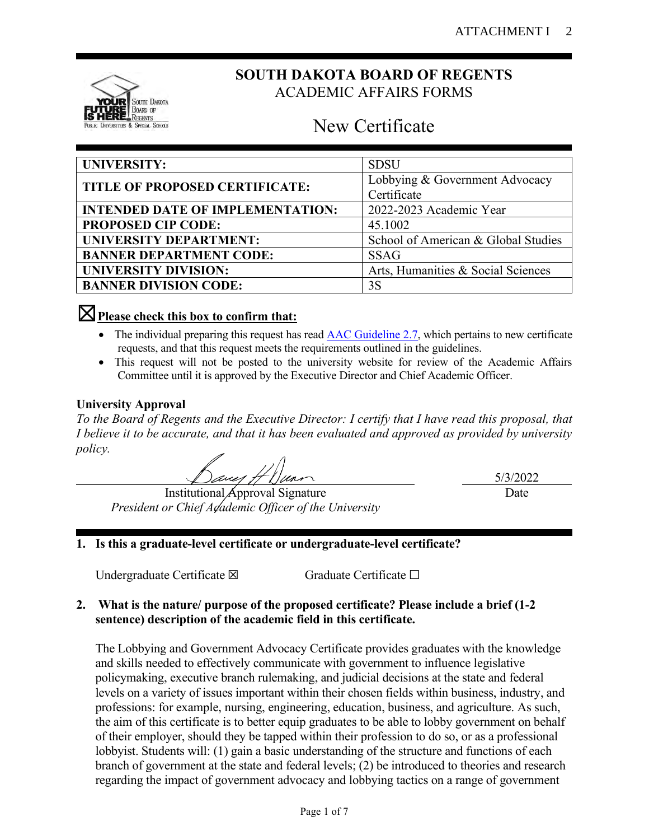

# **SOUTH DAKOTA BOARD OF REGENTS** ACADEMIC AFFAIRS FORMS

# New Certificate

| UNIVERSITY:                             | <b>SDSU</b>                         |  |
|-----------------------------------------|-------------------------------------|--|
| TITLE OF PROPOSED CERTIFICATE:          | Lobbying & Government Advocacy      |  |
|                                         | Certificate                         |  |
| <b>INTENDED DATE OF IMPLEMENTATION:</b> | 2022-2023 Academic Year             |  |
| <b>PROPOSED CIP CODE:</b>               | 45.1002                             |  |
| <b>UNIVERSITY DEPARTMENT:</b>           | School of American & Global Studies |  |
| <b>BANNER DEPARTMENT CODE:</b>          | <b>SSAG</b>                         |  |
| <b>UNIVERSITY DIVISION:</b>             | Arts, Humanities & Social Sciences  |  |
| <b>BANNER DIVISION CODE:</b>            | 3S                                  |  |

# ☒**Please check this box to confirm that:**

- The individual preparing this request has read **AAC Guideline 2.7**, which pertains to new certificate requests, and that this request meets the requirements outlined in the guidelines.
- This request will not be posted to the university website for review of the Academic Affairs Committee until it is approved by the Executive Director and Chief Academic Officer.

# **University Approval**

*To the Board of Regents and the Executive Director: I certify that I have read this proposal, that I believe it to be accurate, and that it has been evaluated and approved as provided by university policy.*

Institutional Approval Signature *President or Chief Adademic Officer of the University*  5/3/2022 Date

# **1. Is this a graduate-level certificate or undergraduate-level certificate?**

Undergraduate Certificate ⊠ Graduate Certificate □

# **2. What is the nature/ purpose of the proposed certificate? Please include a brief (1-2 sentence) description of the academic field in this certificate.**

The Lobbying and Government Advocacy Certificate provides graduates with the knowledge and skills needed to effectively communicate with government to influence legislative policymaking, executive branch rulemaking, and judicial decisions at the state and federal levels on a variety of issues important within their chosen fields within business, industry, and professions: for example, nursing, engineering, education, business, and agriculture. As such, the aim of this certificate is to better equip graduates to be able to lobby government on behalf of their employer, should they be tapped within their profession to do so, or as a professional lobbyist. Students will: (1) gain a basic understanding of the structure and functions of each branch of government at the state and federal levels; (2) be introduced to theories and research regarding the impact of government advocacy and lobbying tactics on a range of government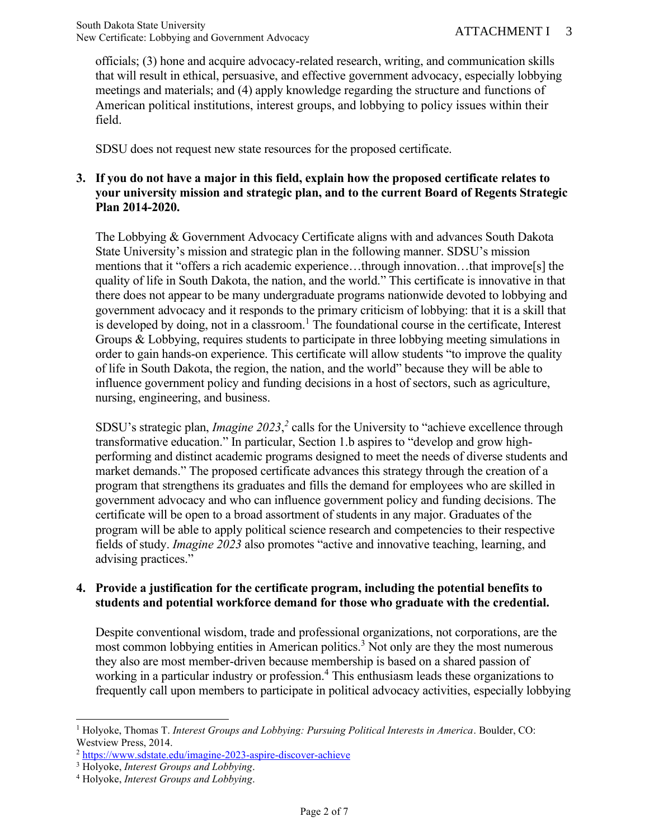officials; (3) hone and acquire advocacy-related research, writing, and communication skills that will result in ethical, persuasive, and effective government advocacy, especially lobbying meetings and materials; and (4) apply knowledge regarding the structure and functions of American political institutions, interest groups, and lobbying to policy issues within their field.

SDSU does not request new state resources for the proposed certificate.

# **3. If you do not have a major in this field, explain how the proposed certificate relates to your university mission and strategic plan, and to the current Board of Regents Strategic Plan 2014-2020.**

The Lobbying & Government Advocacy Certificate aligns with and advances South Dakota State University's mission and strategic plan in the following manner. SDSU's mission mentions that it "offers a rich academic experience…through innovation…that improve[s] the quality of life in South Dakota, the nation, and the world." This certificate is innovative in that there does not appear to be many undergraduate programs nationwide devoted to lobbying and government advocacy and it responds to the primary criticism of lobbying: that it is a skill that is developed by doing, not in a classroom.<sup>1</sup> The foundational course in the certificate, Interest Groups & Lobbying, requires students to participate in three lobbying meeting simulations in order to gain hands-on experience. This certificate will allow students "to improve the quality of life in South Dakota, the region, the nation, and the world" because they will be able to influence government policy and funding decisions in a host of sectors, such as agriculture, nursing, engineering, and business.

SDSU's strategic plan, *Imagine 2023*,<sup>2</sup> calls for the University to "achieve excellence through transformative education." In particular, Section 1.b aspires to "develop and grow highperforming and distinct academic programs designed to meet the needs of diverse students and market demands." The proposed certificate advances this strategy through the creation of a program that strengthens its graduates and fills the demand for employees who are skilled in government advocacy and who can influence government policy and funding decisions. The certificate will be open to a broad assortment of students in any major. Graduates of the program will be able to apply political science research and competencies to their respective fields of study. *Imagine 2023* also promotes "active and innovative teaching, learning, and advising practices."

### **4. Provide a justification for the certificate program, including the potential benefits to students and potential workforce demand for those who graduate with the credential.**

Despite conventional wisdom, trade and professional organizations, not corporations, are the most common lobbying entities in American politics.<sup>3</sup> Not only are they the most numerous they also are most member-driven because membership is based on a shared passion of working in a particular industry or profession.<sup>4</sup> This enthusiasm leads these organizations to frequently call upon members to participate in political advocacy activities, especially lobbying

<sup>1</sup> Holyoke, Thomas T. *Interest Groups and Lobbying: Pursuing Political Interests in America*. Boulder, CO: Westview Press, 2014.

<sup>2</sup> <https://www.sdstate.edu/imagine-2023-aspire-discover-achieve>

<sup>3</sup> Holyoke, *Interest Groups and Lobbying*.

<sup>4</sup> Holyoke, *Interest Groups and Lobbying*.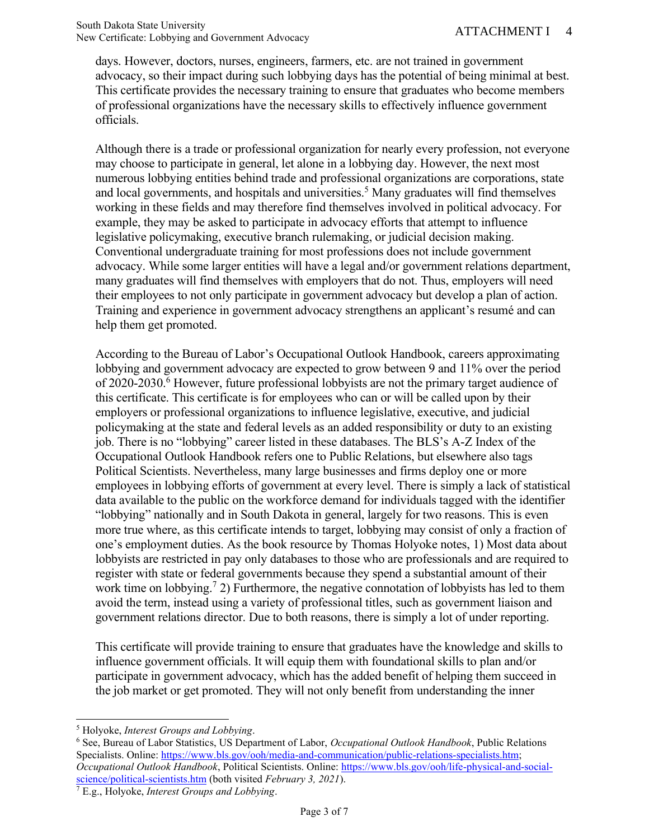days. However, doctors, nurses, engineers, farmers, etc. are not trained in government advocacy, so their impact during such lobbying days has the potential of being minimal at best. This certificate provides the necessary training to ensure that graduates who become members of professional organizations have the necessary skills to effectively influence government officials.

Although there is a trade or professional organization for nearly every profession, not everyone may choose to participate in general, let alone in a lobbying day. However, the next most numerous lobbying entities behind trade and professional organizations are corporations, state and local governments, and hospitals and universities.<sup>5</sup> Many graduates will find themselves working in these fields and may therefore find themselves involved in political advocacy. For example, they may be asked to participate in advocacy efforts that attempt to influence legislative policymaking, executive branch rulemaking, or judicial decision making. Conventional undergraduate training for most professions does not include government advocacy. While some larger entities will have a legal and/or government relations department, many graduates will find themselves with employers that do not. Thus, employers will need their employees to not only participate in government advocacy but develop a plan of action. Training and experience in government advocacy strengthens an applicant's resumé and can help them get promoted.

According to the Bureau of Labor's Occupational Outlook Handbook, careers approximating lobbying and government advocacy are expected to grow between 9 and 11% over the period of 2020-2030.<sup>6</sup> However, future professional lobbyists are not the primary target audience of this certificate. This certificate is for employees who can or will be called upon by their employers or professional organizations to influence legislative, executive, and judicial policymaking at the state and federal levels as an added responsibility or duty to an existing job. There is no "lobbying" career listed in these databases. The BLS's A-Z Index of the Occupational Outlook Handbook refers one to Public Relations, but elsewhere also tags Political Scientists. Nevertheless, many large businesses and firms deploy one or more employees in lobbying efforts of government at every level. There is simply a lack of statistical data available to the public on the workforce demand for individuals tagged with the identifier "lobbying" nationally and in South Dakota in general, largely for two reasons. This is even more true where, as this certificate intends to target, lobbying may consist of only a fraction of one's employment duties. As the book resource by Thomas Holyoke notes, 1) Most data about lobbyists are restricted in pay only databases to those who are professionals and are required to register with state or federal governments because they spend a substantial amount of their work time on lobbying.<sup>7</sup> 2) Furthermore, the negative connotation of lobbyists has led to them avoid the term, instead using a variety of professional titles, such as government liaison and government relations director. Due to both reasons, there is simply a lot of under reporting.

This certificate will provide training to ensure that graduates have the knowledge and skills to influence government officials. It will equip them with foundational skills to plan and/or participate in government advocacy, which has the added benefit of helping them succeed in the job market or get promoted. They will not only benefit from understanding the inner

<sup>5</sup> Holyoke, *Interest Groups and Lobbying*.

<sup>6</sup> See, Bureau of Labor Statistics, US Department of Labor, *Occupational Outlook Handbook*, Public Relations Specialists. Online: [https://www.bls.gov/ooh/media-and-communication/public-relations-specialists.htm;](https://www.bls.gov/ooh/media-and-communication/public-relations-specialists.htm) *Occupational Outlook Handbook*, Political Scientists. Online: [https://www.bls.gov/ooh/life-physical-and-social](https://www.bls.gov/ooh/life-physical-and-social-science/political-scientists.htm)[science/political-scientists.htm](https://www.bls.gov/ooh/life-physical-and-social-science/political-scientists.htm) (both visited *February 3, 2021*).

<sup>7</sup> E.g., Holyoke, *Interest Groups and Lobbying*.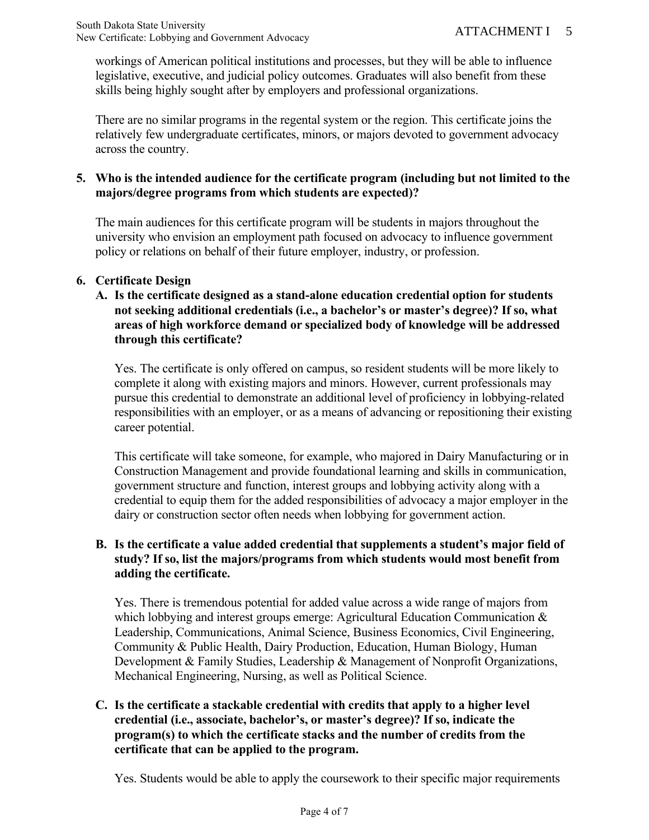workings of American political institutions and processes, but they will be able to influence legislative, executive, and judicial policy outcomes. Graduates will also benefit from these skills being highly sought after by employers and professional organizations.

There are no similar programs in the regental system or the region. This certificate joins the relatively few undergraduate certificates, minors, or majors devoted to government advocacy across the country.

# **5. Who is the intended audience for the certificate program (including but not limited to the majors/degree programs from which students are expected)?**

The main audiences for this certificate program will be students in majors throughout the university who envision an employment path focused on advocacy to influence government policy or relations on behalf of their future employer, industry, or profession.

### **6. Certificate Design**

**A. Is the certificate designed as a stand-alone education credential option for students not seeking additional credentials (i.e., a bachelor's or master's degree)? If so, what areas of high workforce demand or specialized body of knowledge will be addressed through this certificate?**

Yes. The certificate is only offered on campus, so resident students will be more likely to complete it along with existing majors and minors. However, current professionals may pursue this credential to demonstrate an additional level of proficiency in lobbying-related responsibilities with an employer, or as a means of advancing or repositioning their existing career potential.

This certificate will take someone, for example, who majored in Dairy Manufacturing or in Construction Management and provide foundational learning and skills in communication, government structure and function, interest groups and lobbying activity along with a credential to equip them for the added responsibilities of advocacy a major employer in the dairy or construction sector often needs when lobbying for government action.

# **B. Is the certificate a value added credential that supplements a student's major field of study? If so, list the majors/programs from which students would most benefit from adding the certificate.**

Yes. There is tremendous potential for added value across a wide range of majors from which lobbying and interest groups emerge: Agricultural Education Communication & Leadership, Communications, Animal Science, Business Economics, Civil Engineering, Community & Public Health, Dairy Production, Education, Human Biology, Human Development & Family Studies, Leadership & Management of Nonprofit Organizations, Mechanical Engineering, Nursing, as well as Political Science.

### **C. Is the certificate a stackable credential with credits that apply to a higher level credential (i.e., associate, bachelor's, or master's degree)? If so, indicate the program(s) to which the certificate stacks and the number of credits from the certificate that can be applied to the program.**

Yes. Students would be able to apply the coursework to their specific major requirements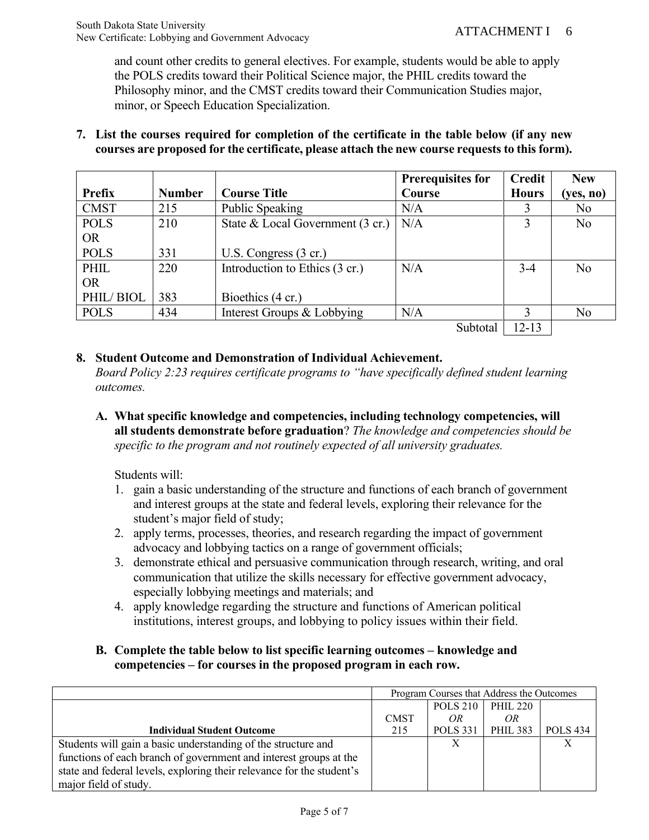and count other credits to general electives. For example, students would be able to apply the POLS credits toward their Political Science major, the PHIL credits toward the Philosophy minor, and the CMST credits toward their Communication Studies major, minor, or Speech Education Specialization.

#### **7. List the courses required for completion of the certificate in the table below (if any new courses are proposed for the certificate, please attach the new course requests to this form).**

|             |               |                                  | <b>Prerequisites for</b>                                                                                                                                                                                                                                                                                                                                                                                                     | <b>Credit</b> | <b>New</b>     |
|-------------|---------------|----------------------------------|------------------------------------------------------------------------------------------------------------------------------------------------------------------------------------------------------------------------------------------------------------------------------------------------------------------------------------------------------------------------------------------------------------------------------|---------------|----------------|
| Prefix      | <b>Number</b> | <b>Course Title</b>              | Course                                                                                                                                                                                                                                                                                                                                                                                                                       | <b>Hours</b>  | (yes, no)      |
| <b>CMST</b> | 215           | Public Speaking                  | N/A                                                                                                                                                                                                                                                                                                                                                                                                                          |               | No.            |
| <b>POLS</b> | 210           | State & Local Government (3 cr.) | N/A                                                                                                                                                                                                                                                                                                                                                                                                                          |               | N <sub>o</sub> |
| <b>OR</b>   |               |                                  |                                                                                                                                                                                                                                                                                                                                                                                                                              |               |                |
| <b>POLS</b> | 331           | U.S. Congress $(3 \text{ cr.})$  |                                                                                                                                                                                                                                                                                                                                                                                                                              |               |                |
| PHIL        | 220           | Introduction to Ethics (3 cr.)   | N/A                                                                                                                                                                                                                                                                                                                                                                                                                          | $3-4$         | No             |
| <b>OR</b>   |               |                                  |                                                                                                                                                                                                                                                                                                                                                                                                                              |               |                |
| PHIL/BIOL   | 383           | Bioethics (4 cr.)                |                                                                                                                                                                                                                                                                                                                                                                                                                              |               |                |
| <b>POLS</b> | 434           | Interest Groups & Lobbying       | N/A                                                                                                                                                                                                                                                                                                                                                                                                                          |               | N <sub>o</sub> |
|             |               |                                  | $\begin{array}{ccc} \text{c} & \text{1} & \text{1} & \text{1} & \text{1} & \text{1} & \text{1} & \text{1} & \text{1} & \text{1} & \text{1} & \text{1} & \text{1} & \text{1} & \text{1} & \text{1} & \text{1} & \text{1} & \text{1} & \text{1} & \text{1} & \text{1} & \text{1} & \text{1} & \text{1} & \text{1} & \text{1} & \text{1} & \text{1} & \text{1} & \text{1} & \text{1} & \text{1} & \text{1} & \text{1} & \text{$ | 10.10         |                |

Subtotal  $|12-13|$ 

### **8. Student Outcome and Demonstration of Individual Achievement.**

*Board Policy 2:23 requires certificate programs to "have specifically defined student learning outcomes.* 

**A. What specific knowledge and competencies, including technology competencies, will all students demonstrate before graduation**? *The knowledge and competencies should be specific to the program and not routinely expected of all university graduates.*

Students will:

- 1. gain a basic understanding of the structure and functions of each branch of government and interest groups at the state and federal levels, exploring their relevance for the student's major field of study;
- 2. apply terms, processes, theories, and research regarding the impact of government advocacy and lobbying tactics on a range of government officials;
- 3. demonstrate ethical and persuasive communication through research, writing, and oral communication that utilize the skills necessary for effective government advocacy, especially lobbying meetings and materials; and
- 4. apply knowledge regarding the structure and functions of American political institutions, interest groups, and lobbying to policy issues within their field.

# **B. Complete the table below to list specific learning outcomes – knowledge and competencies – for courses in the proposed program in each row.**

|                                                                       | Program Courses that Address the Outcomes |                 |                 |                 |
|-----------------------------------------------------------------------|-------------------------------------------|-----------------|-----------------|-----------------|
|                                                                       |                                           | <b>POLS 210</b> | PHIL 220        |                 |
|                                                                       | <b>CMST</b>                               | OR              | OR              |                 |
| <b>Individual Student Outcome</b>                                     | 215                                       | <b>POLS</b> 331 | <b>PHIL 383</b> | <b>POLS</b> 434 |
| Students will gain a basic understanding of the structure and         |                                           |                 |                 |                 |
| functions of each branch of government and interest groups at the     |                                           |                 |                 |                 |
| state and federal levels, exploring their relevance for the student's |                                           |                 |                 |                 |
| major field of study.                                                 |                                           |                 |                 |                 |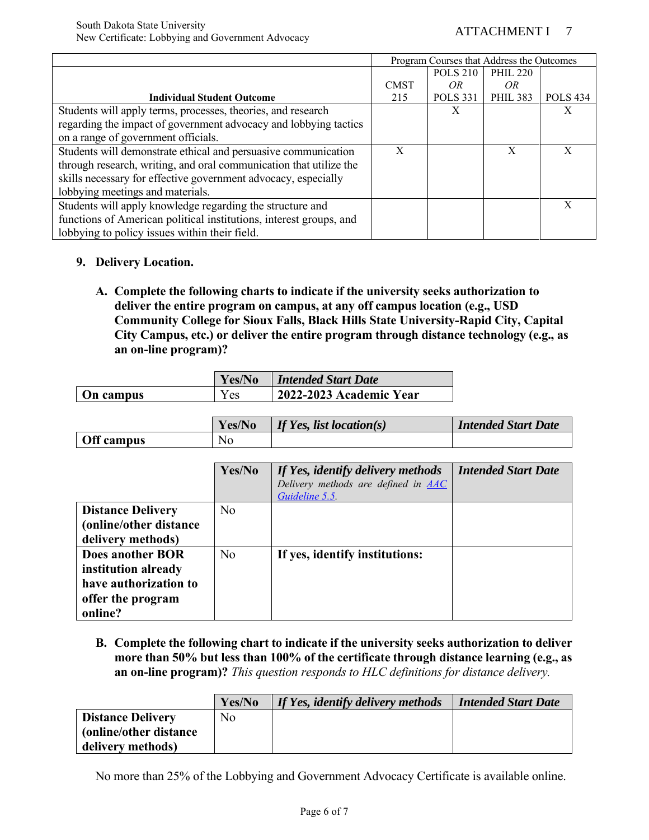|                                                                    | Program Courses that Address the Outcomes |                 |                 |                 |
|--------------------------------------------------------------------|-------------------------------------------|-----------------|-----------------|-----------------|
|                                                                    |                                           | <b>POLS 210</b> | <b>PHIL 220</b> |                 |
|                                                                    | <b>CMST</b>                               | OR.             | OR.             |                 |
| <b>Individual Student Outcome</b>                                  | 215                                       | <b>POLS</b> 331 | <b>PHIL 383</b> | <b>POLS 434</b> |
| Students will apply terms, processes, theories, and research       |                                           | X               |                 | Х               |
| regarding the impact of government advocacy and lobbying tactics   |                                           |                 |                 |                 |
| on a range of government officials.                                |                                           |                 |                 |                 |
| Students will demonstrate ethical and persuasive communication     | X                                         |                 | X               | X               |
| through research, writing, and oral communication that utilize the |                                           |                 |                 |                 |
| skills necessary for effective government advocacy, especially     |                                           |                 |                 |                 |
| lobbying meetings and materials.                                   |                                           |                 |                 |                 |
| Students will apply knowledge regarding the structure and          |                                           |                 |                 | $\mathbf{x}$    |
| functions of American political institutions, interest groups, and |                                           |                 |                 |                 |
| lobbying to policy issues within their field.                      |                                           |                 |                 |                 |

### **9. Delivery Location.**

**A. Complete the following charts to indicate if the university seeks authorization to deliver the entire program on campus, at any off campus location (e.g., USD Community College for Sioux Falls, Black Hills State University-Rapid City, Capital City Campus, etc.) or deliver the entire program through distance technology (e.g., as an on-line program)?**

|           | Yes/No     | <b>Intended Start Date</b> |
|-----------|------------|----------------------------|
| On campus | <b>Yes</b> | 2022-2023 Academic Year    |

|            | Yes/No | If Yes, list location(s) | <b>Intended Start Date</b> |
|------------|--------|--------------------------|----------------------------|
| Off campus | No     |                          |                            |

|                          | Yes/No         | If Yes, identify delivery methods<br>Delivery methods are defined in AAC<br>Guideline 5.5 | <b>Intended Start Date</b> |
|--------------------------|----------------|-------------------------------------------------------------------------------------------|----------------------------|
| <b>Distance Delivery</b> | N <sub>o</sub> |                                                                                           |                            |
| (online/other distance   |                |                                                                                           |                            |
| delivery methods)        |                |                                                                                           |                            |
| <b>Does another BOR</b>  | N <sub>o</sub> | If yes, identify institutions:                                                            |                            |
| institution already      |                |                                                                                           |                            |
| have authorization to    |                |                                                                                           |                            |
| offer the program        |                |                                                                                           |                            |
| online?                  |                |                                                                                           |                            |

**B. Complete the following chart to indicate if the university seeks authorization to deliver more than 50% but less than 100% of the certificate through distance learning (e.g., as an on-line program)?** *This question responds to HLC definitions for distance delivery.*

|                          | Yes/No | If Yes, identify delivery methods | <b>Intended Start Date</b> |
|--------------------------|--------|-----------------------------------|----------------------------|
| <b>Distance Delivery</b> | No     |                                   |                            |
| (online/other distance)  |        |                                   |                            |
| delivery methods)        |        |                                   |                            |

No more than 25% of the Lobbying and Government Advocacy Certificate is available online.